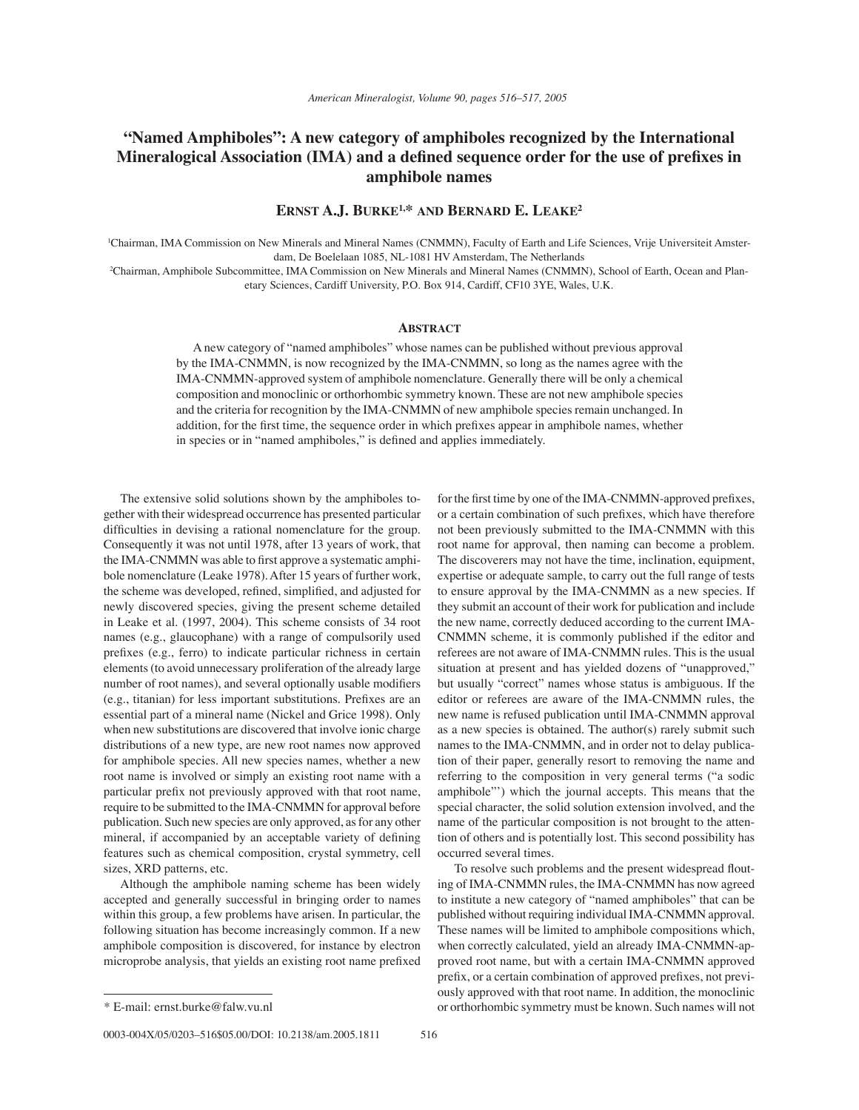# **<sup><b>Named Amphiboles": A new category of amphiboles recognized by the International**</sup> **Mineralogical Association (IMA) and a defined sequence order for the use of prefixes in amphibole names**

**ERNST A.J. BURKE1,\* AND BERNARD E. LEAKE2**

1 Chairman, IMA Commission on New Minerals and Mineral Names (CNMMN), Faculty of Earth and Life Sciences, Vrije Universiteit Amsterdam, De Boelelaan 1085, NL-1081 HV Amsterdam, The Netherlands

2 Chairman, Amphibole Subcommittee, IMA Commission on New Minerals and Mineral Names (CNMMN), School of Earth, Ocean and Planetary Sciences, Cardiff University, P.O. Box 914, Cardiff, CF10 3YE, Wales, U.K.

## **ABSTRACT**

A new category of "named amphiboles" whose names can be published without previous approval by the IMA-CNMMN, is now recognized by the IMA-CNMMN, so long as the names agree with the IMA-CNMMN-approved system of amphibole nomenclature. Generally there will be only a chemical composition and monoclinic or orthorhombic symmetry known. These are not new amphibole species and the criteria for recognition by the IMA-CNMMN of new amphibole species remain unchanged. In addition, for the first time, the sequence order in which prefixes appear in amphibole names, whether in species or in "named amphiboles," is defined and applies immediately.

The extensive solid solutions shown by the amphiboles together with their widespread occurrence has presented particular difficulties in devising a rational nomenclature for the group. Consequently it was not until 1978, after 13 years of work, that the IMA-CNMMN was able to first approve a systematic amphibole nomenclature (Leake 1978). After 15 years of further work, the scheme was developed, refined, simplified, and adjusted for newly discovered species, giving the present scheme detailed in Leake et al. (1997, 2004). This scheme consists of 34 root names (e.g., glaucophane) with a range of compulsorily used prefixes (e.g., ferro) to indicate particular richness in certain elements (to avoid unnecessary proliferation of the already large number of root names), and several optionally usable modifiers (e.g., titanian) for less important substitutions. Prefixes are an essential part of a mineral name (Nickel and Grice 1998). Only when new substitutions are discovered that involve ionic charge distributions of a new type, are new root names now approved for amphibole species. All new species names, whether a new root name is involved or simply an existing root name with a particular prefix not previously approved with that root name, require to be submitted to the IMA-CNMMN for approval before publication. Such new species are only approved, as for any other mineral, if accompanied by an acceptable variety of defining features such as chemical composition, crystal symmetry, cell sizes, XRD patterns, etc.

Although the amphibole naming scheme has been widely accepted and generally successful in bringing order to names within this group, a few problems have arisen. In particular, the following situation has become increasingly common. If a new amphibole composition is discovered, for instance by electron microprobe analysis, that yields an existing root name prefixed

0003-004X/05/0203-516\$05.00/DOI: 10.2138/am.2005.1811 516

for the first time by one of the IMA-CNMMN-approved prefixes, or a certain combination of such prefixes, which have therefore not been previously submitted to the IMA-CNMMN with this root name for approval, then naming can become a problem. The discoverers may not have the time, inclination, equipment, expertise or adequate sample, to carry out the full range of tests to ensure approval by the IMA-CNMMN as a new species. If they submit an account of their work for publication and include the new name, correctly deduced according to the current IMA-CNMMN scheme, it is commonly published if the editor and referees are not aware of IMA-CNMMN rules. This is the usual situation at present and has yielded dozens of "unapproved," but usually "correct" names whose status is ambiguous. If the editor or referees are aware of the IMA-CNMMN rules, the new name is refused publication until IMA-CNMMN approval as a new species is obtained. The author(s) rarely submit such names to the IMA-CNMMN, and in order not to delay publication of their paper, generally resort to removing the name and referring to the composition in very general terms ("a sodic amphibole"') which the journal accepts. This means that the special character, the solid solution extension involved, and the name of the particular composition is not brought to the attention of others and is potentially lost. This second possibility has occurred several times.

To resolve such problems and the present widespread flouting of IMA-CNMMN rules, the IMA-CNMMN has now agreed to institute a new category of "named amphiboles" that can be published without requiring individual IMA-CNMMN approval. These names will be limited to amphibole compositions which, when correctly calculated, yield an already IMA-CNMMN-approved root name, but with a certain IMA-CNMMN approved prefix, or a certain combination of approved prefixes, not previously approved with that root name. In addition, the monoclinic \* E-mail: ernst.burke@falw.vu.nl or orthorhombic symmetry must be known. Such names will not